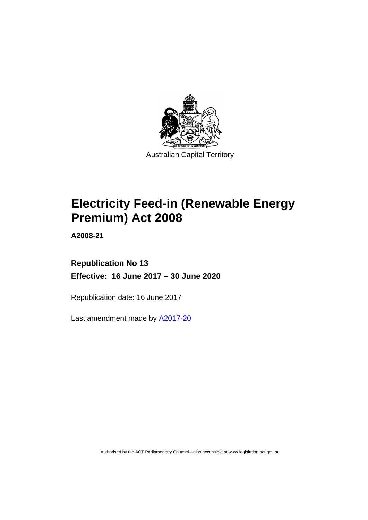

# **Electricity Feed-in (Renewable Energy Premium) Act 2008**

**A2008-21**

# **Republication No 13 Effective: 16 June 2017 – 30 June 2020**

Republication date: 16 June 2017

Last amendment made by [A2017-20](http://www.legislation.act.gov.au/a/2017-20/default.asp)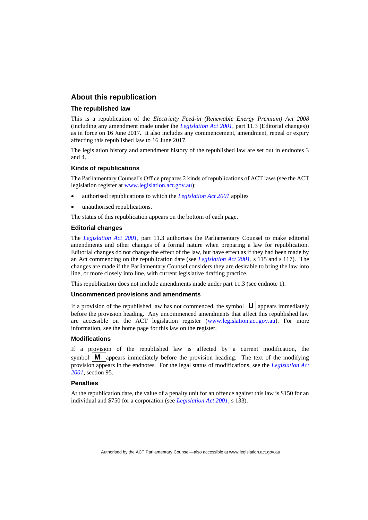## **About this republication**

#### **The republished law**

This is a republication of the *Electricity Feed-in (Renewable Energy Premium) Act 2008* (including any amendment made under the *[Legislation Act 2001](http://www.legislation.act.gov.au/a/2001-14)*, part 11.3 (Editorial changes)) as in force on 16 June 2017*.* It also includes any commencement, amendment, repeal or expiry affecting this republished law to 16 June 2017.

The legislation history and amendment history of the republished law are set out in endnotes 3 and 4.

#### **Kinds of republications**

The Parliamentary Counsel's Office prepares 2 kinds of republications of ACT laws (see the ACT legislation register at [www.legislation.act.gov.au\)](http://www.legislation.act.gov.au/):

- authorised republications to which the *[Legislation Act 2001](http://www.legislation.act.gov.au/a/2001-14)* applies
- unauthorised republications.

The status of this republication appears on the bottom of each page.

#### **Editorial changes**

The *[Legislation Act 2001](http://www.legislation.act.gov.au/a/2001-14)*, part 11.3 authorises the Parliamentary Counsel to make editorial amendments and other changes of a formal nature when preparing a law for republication. Editorial changes do not change the effect of the law, but have effect as if they had been made by an Act commencing on the republication date (see *[Legislation Act 2001](http://www.legislation.act.gov.au/a/2001-14)*, s 115 and s 117). The changes are made if the Parliamentary Counsel considers they are desirable to bring the law into line, or more closely into line, with current legislative drafting practice.

This republication does not include amendments made under part 11.3 (see endnote 1).

#### **Uncommenced provisions and amendments**

If a provision of the republished law has not commenced, the symbol  $\mathbf{U}$  appears immediately before the provision heading. Any uncommenced amendments that affect this republished law are accessible on the ACT legislation register [\(www.legislation.act.gov.au\)](http://www.legislation.act.gov.au/). For more information, see the home page for this law on the register.

#### **Modifications**

If a provision of the republished law is affected by a current modification, the symbol  $\mathbf{M}$  appears immediately before the provision heading. The text of the modifying provision appears in the endnotes. For the legal status of modifications, see the *[Legislation Act](http://www.legislation.act.gov.au/a/2001-14)  [2001](http://www.legislation.act.gov.au/a/2001-14)*, section 95.

#### **Penalties**

At the republication date, the value of a penalty unit for an offence against this law is \$150 for an individual and \$750 for a corporation (see *[Legislation Act 2001](http://www.legislation.act.gov.au/a/2001-14)*, s 133).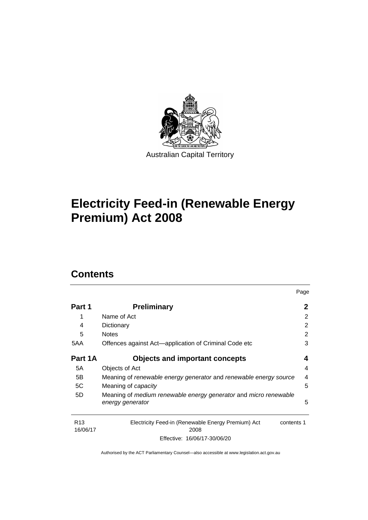

# **Electricity Feed-in (Renewable Energy Premium) Act 2008**

# **Contents**

|                             |                                                                                      | Page                    |
|-----------------------------|--------------------------------------------------------------------------------------|-------------------------|
| Part 1                      | <b>Preliminary</b>                                                                   | 2                       |
| 1                           | Name of Act                                                                          | 2                       |
| 4                           | Dictionary                                                                           | $\overline{2}$          |
| 5                           | <b>Notes</b>                                                                         | 2                       |
| 5AA                         | Offences against Act—application of Criminal Code etc                                | 3                       |
| Part 1A                     | <b>Objects and important concepts</b>                                                | 4                       |
| 5A                          | Objects of Act                                                                       | 4                       |
| 5B                          | Meaning of renewable energy generator and renewable energy source                    | $\overline{\mathbf{4}}$ |
| 5C                          | Meaning of <i>capacity</i>                                                           | 5                       |
| 5D                          | Meaning of medium renewable energy generator and micro renewable<br>energy generator | 5                       |
| R <sub>13</sub><br>16/06/17 | Electricity Feed-in (Renewable Energy Premium) Act<br>contents 1<br>2008             |                         |

Effective: 16/06/17-30/06/20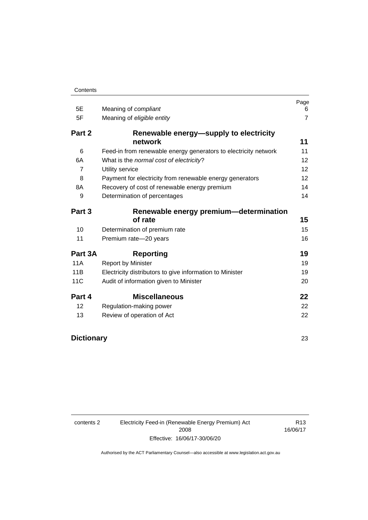| 5E             | Meaning of compliant                                            | Page<br>6       |
|----------------|-----------------------------------------------------------------|-----------------|
| 5F             | Meaning of eligible entity                                      | $\overline{7}$  |
| Part 2         | Renewable energy—supply to electricity                          |                 |
|                | network                                                         | 11              |
| 6              | Feed-in from renewable energy generators to electricity network | 11              |
| 6A             | What is the normal cost of electricity?                         | 12              |
| $\overline{7}$ | Utility service                                                 | 12 <sup>2</sup> |
| 8              | Payment for electricity from renewable energy generators        | 12              |
| 8A             | Recovery of cost of renewable energy premium                    | 14              |
| 9              | Determination of percentages                                    | 14              |
| Part 3         | Renewable energy premium-determination                          |                 |
|                | of rate                                                         | 15              |
| 10             | Determination of premium rate                                   | 15              |
| 11             | Premium rate-20 years                                           | 16              |
| Part 3A        | <b>Reporting</b>                                                | 19              |
| <b>11A</b>     | <b>Report by Minister</b>                                       | 19              |
| 11B            | Electricity distributors to give information to Minister        | 19              |
| 11C            | Audit of information given to Minister                          | 20              |
| Part 4         | <b>Miscellaneous</b>                                            | 22              |
| 12             | Regulation-making power                                         | 22              |
| 13             | Review of operation of Act                                      | 22              |

# **[Dictionary](#page-28-0)** 23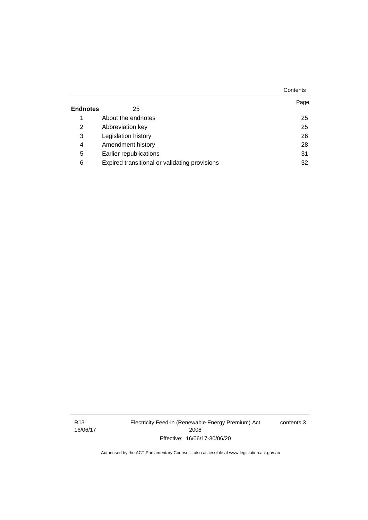|                 |                                               | Contents |
|-----------------|-----------------------------------------------|----------|
| <b>Endnotes</b> | 25                                            | Page     |
|                 |                                               |          |
| 1               | About the endnotes                            | 25       |
| 2               | Abbreviation key                              | 25       |
| 3               | Legislation history                           | 26       |
| 4               | Amendment history                             | 28       |
| 5               | Earlier republications                        | 31       |
| 6               | Expired transitional or validating provisions | 32       |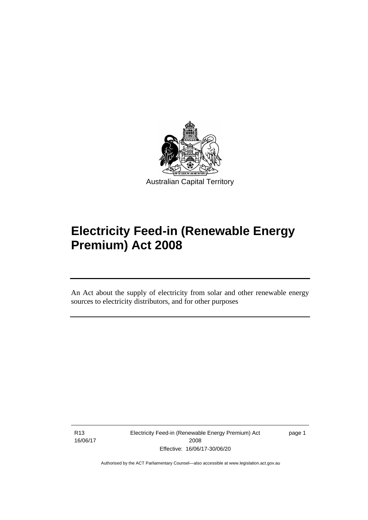

# **Electricity Feed-in (Renewable Energy Premium) Act 2008**

An Act about the supply of electricity from solar and other renewable energy sources to electricity distributors, and for other purposes

R13 16/06/17

֡֡֡

Electricity Feed-in (Renewable Energy Premium) Act 2008 Effective: 16/06/17-30/06/20

page 1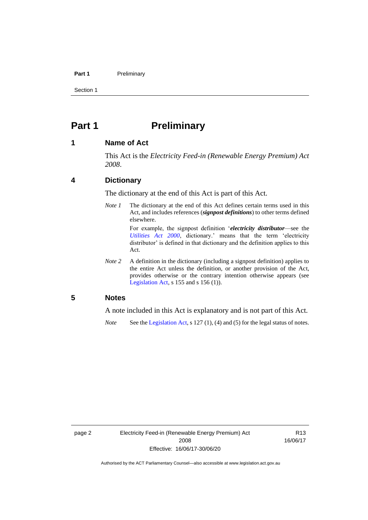#### **Part 1** Preliminary

Section 1

# <span id="page-7-0"></span>**Part 1 Preliminary**

### <span id="page-7-1"></span>**1 Name of Act**

This Act is the *Electricity Feed-in (Renewable Energy Premium) Act 2008*.

# <span id="page-7-2"></span>**4 Dictionary**

The dictionary at the end of this Act is part of this Act.

*Note 1* The dictionary at the end of this Act defines certain terms used in this Act, and includes references (*signpost definitions*) to other terms defined elsewhere.

> For example, the signpost definition '*electricity distributor*—see the *[Utilities Act 2000](http://www.legislation.act.gov.au/a/2000-65)*, dictionary.' means that the term 'electricity distributor' is defined in that dictionary and the definition applies to this Act.

*Note* 2 A definition in the dictionary (including a signpost definition) applies to the entire Act unless the definition, or another provision of the Act, provides otherwise or the contrary intention otherwise appears (see [Legislation Act,](http://www.legislation.act.gov.au/a/2001-14) s 155 and s 156 (1)).

# <span id="page-7-3"></span>**5 Notes**

A note included in this Act is explanatory and is not part of this Act.

*Note* See the [Legislation Act,](http://www.legislation.act.gov.au/a/2001-14) s 127 (1), (4) and (5) for the legal status of notes.

R13 16/06/17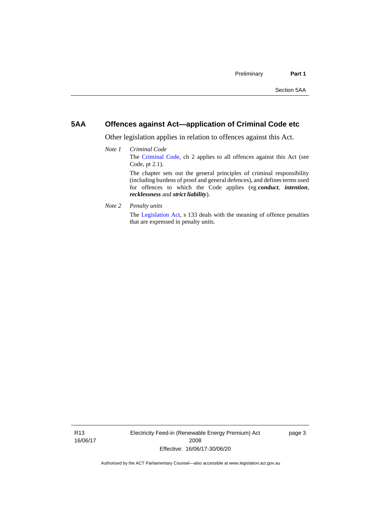# <span id="page-8-0"></span>**5AA Offences against Act—application of Criminal Code etc**

*recklessness* and *strict liability*).

Other legislation applies in relation to offences against this Act.

- *Note 1 Criminal Code* The [Criminal Code,](http://www.legislation.act.gov.au/a/2002-51) ch 2 applies to all offences against this Act (see Code, pt 2.1). The chapter sets out the general principles of criminal responsibility (including burdens of proof and general defences), and defines terms used for offences to which the Code applies (eg *conduct*, *intention*,
- *Note 2 Penalty units*

The [Legislation Act,](http://www.legislation.act.gov.au/a/2001-14) s 133 deals with the meaning of offence penalties that are expressed in penalty units.

R13 16/06/17 Electricity Feed-in (Renewable Energy Premium) Act 2008 Effective: 16/06/17-30/06/20

page 3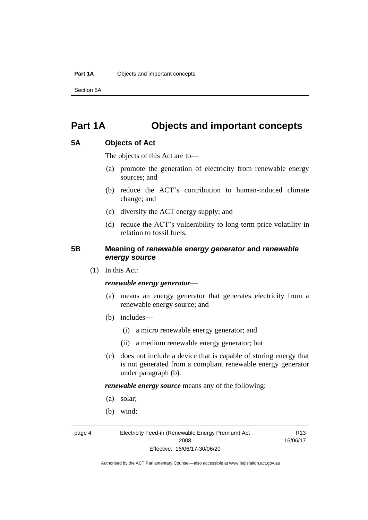Section 5A

# <span id="page-9-0"></span>**Part 1A Objects and important concepts**

# <span id="page-9-1"></span>**5A Objects of Act**

The objects of this Act are to—

- (a) promote the generation of electricity from renewable energy sources; and
- (b) reduce the ACT's contribution to human-induced climate change; and
- (c) diversify the ACT energy supply; and
- (d) reduce the ACT's vulnerability to long-term price volatility in relation to fossil fuels.

# <span id="page-9-2"></span>**5B Meaning of** *renewable energy generator* **and** *renewable energy source*

(1) In this Act:

### *renewable energy generator*—

- (a) means an energy generator that generates electricity from a renewable energy source; and
- (b) includes—
	- (i) a micro renewable energy generator; and
	- (ii) a medium renewable energy generator; but
- (c) does not include a device that is capable of storing energy that is not generated from a compliant renewable energy generator under paragraph (b).

*renewable energy source* means any of the following:

- (a) solar;
- (b) wind;

page 4 Electricity Feed-in (Renewable Energy Premium) Act 2008 Effective: 16/06/17-30/06/20

R13 16/06/17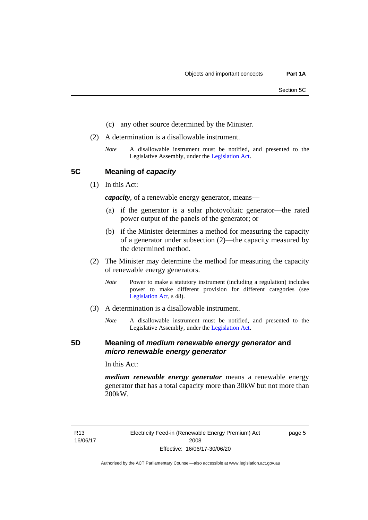- (c) any other source determined by the Minister.
- (2) A determination is a disallowable instrument.
	- *Note* A disallowable instrument must be notified, and presented to the Legislative Assembly, under the [Legislation Act.](http://www.legislation.act.gov.au/a/2001-14)

<span id="page-10-0"></span>**5C Meaning of** *capacity*

(1) In this Act:

*capacity*, of a renewable energy generator, means—

- (a) if the generator is a solar photovoltaic generator—the rated power output of the panels of the generator; or
- (b) if the Minister determines a method for measuring the capacity of a generator under subsection (2)—the capacity measured by the determined method.
- (2) The Minister may determine the method for measuring the capacity of renewable energy generators.
	- *Note* Power to make a statutory instrument (including a regulation) includes power to make different provision for different categories (see [Legislation Act,](http://www.legislation.act.gov.au/a/2001-14) s 48).
- (3) A determination is a disallowable instrument.
	- *Note* A disallowable instrument must be notified, and presented to the Legislative Assembly, under the [Legislation Act.](http://www.legislation.act.gov.au/a/2001-14)

## <span id="page-10-1"></span>**5D Meaning of** *medium renewable energy generator* **and**  *micro renewable energy generator*

In this Act:

*medium renewable energy generator* means a renewable energy generator that has a total capacity more than 30kW but not more than 200kW.

R13 16/06/17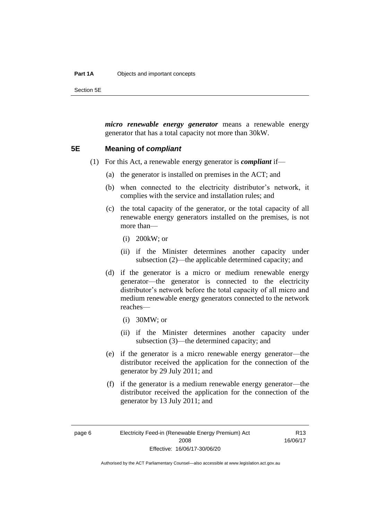#### **Part 1A** Objects and important concepts

Section 5E

*micro renewable energy generator* means a renewable energy generator that has a total capacity not more than 30kW.

### <span id="page-11-0"></span>**5E Meaning of** *compliant*

- (1) For this Act, a renewable energy generator is *compliant* if—
	- (a) the generator is installed on premises in the ACT; and
	- (b) when connected to the electricity distributor's network, it complies with the service and installation rules; and
	- (c) the total capacity of the generator, or the total capacity of all renewable energy generators installed on the premises, is not more than—
		- (i) 200kW; or
		- (ii) if the Minister determines another capacity under subsection (2)—the applicable determined capacity; and
	- (d) if the generator is a micro or medium renewable energy generator—the generator is connected to the electricity distributor's network before the total capacity of all micro and medium renewable energy generators connected to the network reaches—
		- (i) 30MW; or
		- (ii) if the Minister determines another capacity under subsection (3)—the determined capacity; and
	- (e) if the generator is a micro renewable energy generator—the distributor received the application for the connection of the generator by 29 July 2011; and
	- (f) if the generator is a medium renewable energy generator—the distributor received the application for the connection of the generator by 13 July 2011; and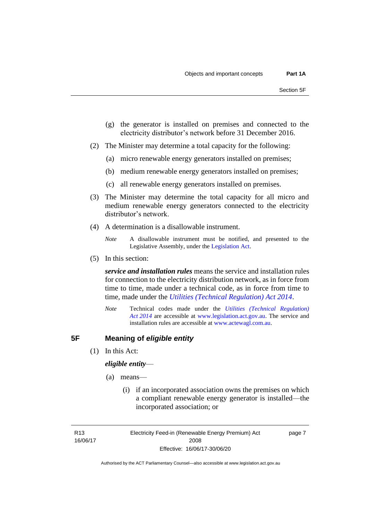- (g) the generator is installed on premises and connected to the electricity distributor's network before 31 December 2016.
- (2) The Minister may determine a total capacity for the following:
	- (a) micro renewable energy generators installed on premises;
	- (b) medium renewable energy generators installed on premises;
	- (c) all renewable energy generators installed on premises.
- (3) The Minister may determine the total capacity for all micro and medium renewable energy generators connected to the electricity distributor's network.
- (4) A determination is a disallowable instrument.

(5) In this section:

*service and installation rules* means the service and installation rules for connection to the electricity distribution network, as in force from time to time, made under a technical code, as in force from time to time, made under the *[Utilities \(Technical Regulation\) Act 2014](http://www.legislation.act.gov.au/a/2014-60/default.asp)*.

*Note* Technical codes made under the *[Utilities \(Technical Regulation\)](http://www.legislation.act.gov.au/a/2014-60/default.asp)  Act [2014](http://www.legislation.act.gov.au/a/2014-60/default.asp)* are accessible at [www.legislation.act.gov.au.](http://www.legislation.act.gov.au/) The service and installation rules are accessible at [www.actewagl.com.au.](http://www.actewagl.com.au/)

# <span id="page-12-0"></span>**5F Meaning of** *eligible entity*

(1) In this Act:

### *eligible entity*—

- (a) means—
	- (i) if an incorporated association owns the premises on which a compliant renewable energy generator is installed—the incorporated association; or

R13 16/06/17 Electricity Feed-in (Renewable Energy Premium) Act 2008 Effective: 16/06/17-30/06/20

page 7

*Note* A disallowable instrument must be notified, and presented to the Legislative Assembly, under the [Legislation Act.](http://www.legislation.act.gov.au/a/2001-14)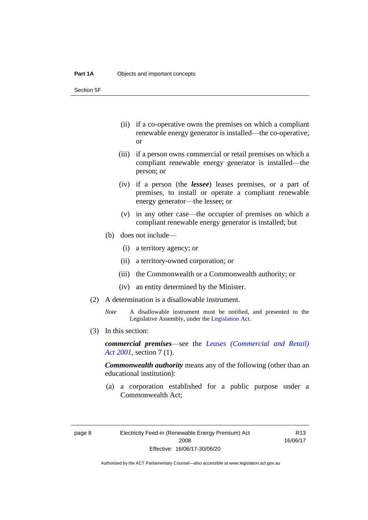Section 5F

- (ii) if a co-operative owns the premises on which a compliant renewable energy generator is installed—the co-operative; or
- (iii) if a person owns commercial or retail premises on which a compliant renewable energy generator is installed—the person; or
- (iv) if a person (the *lessee*) leases premises, or a part of premises, to install or operate a compliant renewable energy generator—the lessee; or
- (v) in any other case—the occupier of premises on which a compliant renewable energy generator is installed; but
- (b) does not include—
	- (i) a territory agency; or
	- (ii) a territory-owned corporation; or
	- (iii) the Commonwealth or a Commonwealth authority; or
	- (iv) an entity determined by the Minister.
- (2) A determination is a disallowable instrument.
	- *Note* A disallowable instrument must be notified, and presented to the Legislative Assembly, under the [Legislation Act.](http://www.legislation.act.gov.au/a/2001-14)
- (3) In this section:

*commercial premises*—see the *[Leases \(Commercial and Retail\)](http://www.legislation.act.gov.au/a/2001-18)  Act [2001](http://www.legislation.act.gov.au/a/2001-18)*, section 7 (1).

*Commonwealth authority* means any of the following (other than an educational institution):

(a) a corporation established for a public purpose under a Commonwealth Act;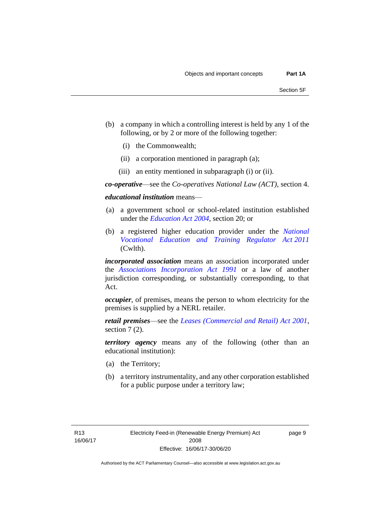- (b) a company in which a controlling interest is held by any 1 of the following, or by 2 or more of the following together:
	- (i) the Commonwealth;
	- (ii) a corporation mentioned in paragraph (a);
	- (iii) an entity mentioned in subparagraph (i) or (ii).

*co-operative*—see the *Co-operatives National Law (ACT)*, section 4.

*educational institution* means—

- (a) a government school or school-related institution established under the *[Education Act 2004](http://www.legislation.act.gov.au/a/2004-17)*, section 20; or
- (b) a registered higher education provider under the *[National](http://www.comlaw.gov.au/Series/C2011A00012)  [Vocational Education and Training Regulator Act](http://www.comlaw.gov.au/Series/C2011A00012) 2011* (Cwlth).

*incorporated association* means an association incorporated under the *[Associations Incorporation Act 1991](http://www.legislation.act.gov.au/a/1991-46)* or a law of another jurisdiction corresponding, or substantially corresponding, to that Act.

*occupier*, of premises, means the person to whom electricity for the premises is supplied by a NERL retailer.

*retail premises*—see the *[Leases \(Commercial and Retail\) Act 2001](http://www.legislation.act.gov.au/a/2001-18)*, section 7 (2).

*territory agency* means any of the following (other than an educational institution):

- (a) the Territory;
- (b) a territory instrumentality, and any other corporation established for a public purpose under a territory law;

page 9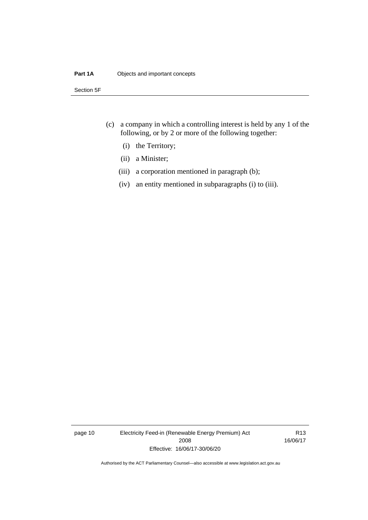### **Part 1A** Objects and important concepts

Section 5F

- (c) a company in which a controlling interest is held by any 1 of the following, or by 2 or more of the following together:
	- (i) the Territory;
	- (ii) a Minister;
	- (iii) a corporation mentioned in paragraph (b);
	- (iv) an entity mentioned in subparagraphs (i) to (iii).

page 10 Electricity Feed-in (Renewable Energy Premium) Act 2008 Effective: 16/06/17-30/06/20

R13 16/06/17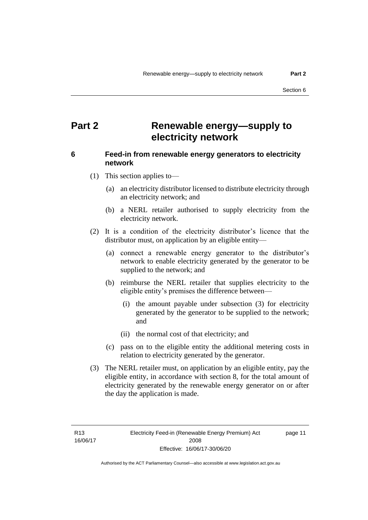# <span id="page-16-0"></span>**Part 2 Renewable energy—supply to electricity network**

# <span id="page-16-1"></span>**6 Feed-in from renewable energy generators to electricity network**

- (1) This section applies to—
	- (a) an electricity distributor licensed to distribute electricity through an electricity network; and
	- (b) a NERL retailer authorised to supply electricity from the electricity network.
- (2) It is a condition of the electricity distributor's licence that the distributor must, on application by an eligible entity—
	- (a) connect a renewable energy generator to the distributor's network to enable electricity generated by the generator to be supplied to the network; and
	- (b) reimburse the NERL retailer that supplies electricity to the eligible entity's premises the difference between—
		- (i) the amount payable under subsection (3) for electricity generated by the generator to be supplied to the network; and
		- (ii) the normal cost of that electricity; and
	- (c) pass on to the eligible entity the additional metering costs in relation to electricity generated by the generator.
- (3) The NERL retailer must, on application by an eligible entity, pay the eligible entity, in accordance with section 8, for the total amount of electricity generated by the renewable energy generator on or after the day the application is made.

R13 16/06/17 page 11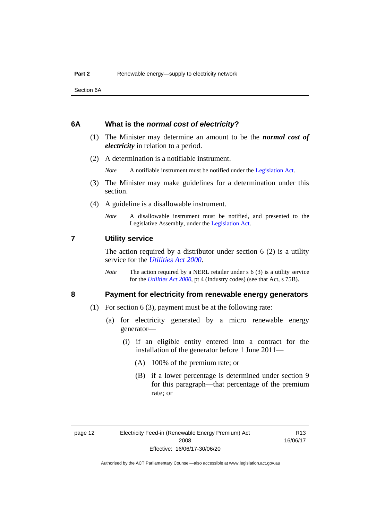Section 6A

### <span id="page-17-0"></span>**6A What is the** *normal cost of electricity***?**

- (1) The Minister may determine an amount to be the *normal cost of electricity* in relation to a period.
- (2) A determination is a notifiable instrument.

*Note* A notifiable instrument must be notified under the [Legislation Act.](http://www.legislation.act.gov.au/a/2001-14)

- (3) The Minister may make guidelines for a determination under this section.
- (4) A guideline is a disallowable instrument.
	- *Note* A disallowable instrument must be notified, and presented to the Legislative Assembly, under the [Legislation Act.](http://www.legislation.act.gov.au/a/2001-14)

### <span id="page-17-1"></span>**7 Utility service**

The action required by a distributor under section  $6(2)$  is a utility service for the *[Utilities Act](http://www.legislation.act.gov.au/a/2000-65) 2000*.

*Note* The action required by a NERL retailer under s 6 (3) is a utility service for the *[Utilities Act](http://www.legislation.act.gov.au/a/2000-65) 2000*, pt 4 (Industry codes) (see that Act, s 75B).

## <span id="page-17-2"></span>**8 Payment for electricity from renewable energy generators**

- (1) For section 6 (3), payment must be at the following rate:
	- (a) for electricity generated by a micro renewable energy generator—
		- (i) if an eligible entity entered into a contract for the installation of the generator before 1 June 2011—
			- (A) 100% of the premium rate; or
			- (B) if a lower percentage is determined under section 9 for this paragraph—that percentage of the premium rate; or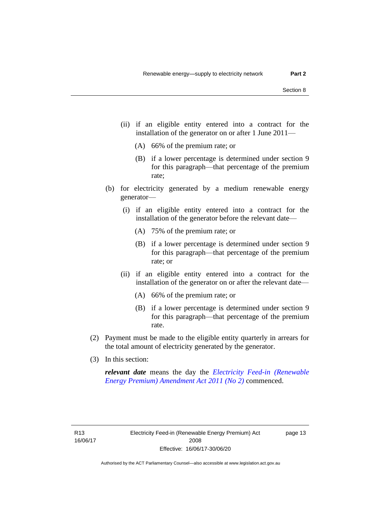- (ii) if an eligible entity entered into a contract for the installation of the generator on or after 1 June 2011—
	- (A) 66% of the premium rate; or
	- (B) if a lower percentage is determined under section 9 for this paragraph—that percentage of the premium rate;
- (b) for electricity generated by a medium renewable energy generator—
	- (i) if an eligible entity entered into a contract for the installation of the generator before the relevant date—
		- (A) 75% of the premium rate; or
		- (B) if a lower percentage is determined under section 9 for this paragraph—that percentage of the premium rate; or
	- (ii) if an eligible entity entered into a contract for the installation of the generator on or after the relevant date—
		- (A) 66% of the premium rate; or
		- (B) if a lower percentage is determined under section 9 for this paragraph—that percentage of the premium rate.
- (2) Payment must be made to the eligible entity quarterly in arrears for the total amount of electricity generated by the generator.
- (3) In this section:

*relevant date* means the day the *[Electricity Feed-in \(Renewable](http://www.legislation.act.gov.au/a/2011-25)  [Energy Premium\) Amendment Act 2011 \(No 2\)](http://www.legislation.act.gov.au/a/2011-25)* commenced.

page 13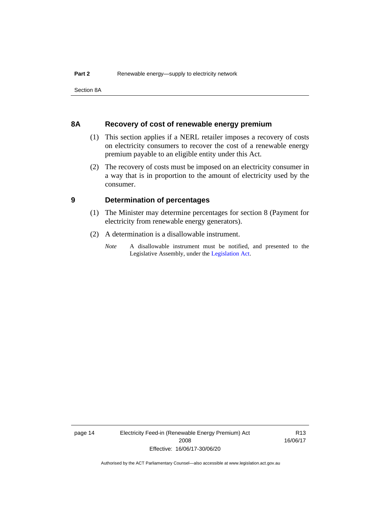Section 8A

### <span id="page-19-0"></span>**8A Recovery of cost of renewable energy premium**

- (1) This section applies if a NERL retailer imposes a recovery of costs on electricity consumers to recover the cost of a renewable energy premium payable to an eligible entity under this Act.
- (2) The recovery of costs must be imposed on an electricity consumer in a way that is in proportion to the amount of electricity used by the consumer.

### <span id="page-19-1"></span>**9 Determination of percentages**

- (1) The Minister may determine percentages for section 8 (Payment for electricity from renewable energy generators).
- (2) A determination is a disallowable instrument.
	- *Note* A disallowable instrument must be notified, and presented to the Legislative Assembly, under the [Legislation Act.](http://www.legislation.act.gov.au/a/2001-14)

page 14 Electricity Feed-in (Renewable Energy Premium) Act 2008 Effective: 16/06/17-30/06/20

R13 16/06/17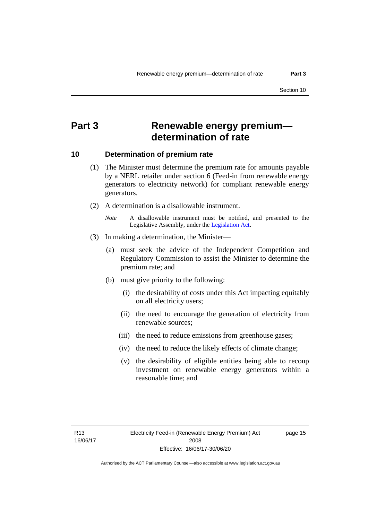# <span id="page-20-0"></span>**Part 3 Renewable energy premium determination of rate**

### <span id="page-20-1"></span>**10 Determination of premium rate**

- (1) The Minister must determine the premium rate for amounts payable by a NERL retailer under section 6 (Feed-in from renewable energy generators to electricity network) for compliant renewable energy generators.
- (2) A determination is a disallowable instrument.
	- *Note* A disallowable instrument must be notified, and presented to the Legislative Assembly, under the [Legislation Act.](http://www.legislation.act.gov.au/a/2001-14)
- (3) In making a determination, the Minister—
	- (a) must seek the advice of the Independent Competition and Regulatory Commission to assist the Minister to determine the premium rate; and
	- (b) must give priority to the following:
		- (i) the desirability of costs under this Act impacting equitably on all electricity users;
		- (ii) the need to encourage the generation of electricity from renewable sources;
		- (iii) the need to reduce emissions from greenhouse gases;
		- (iv) the need to reduce the likely effects of climate change;
		- (v) the desirability of eligible entities being able to recoup investment on renewable energy generators within a reasonable time; and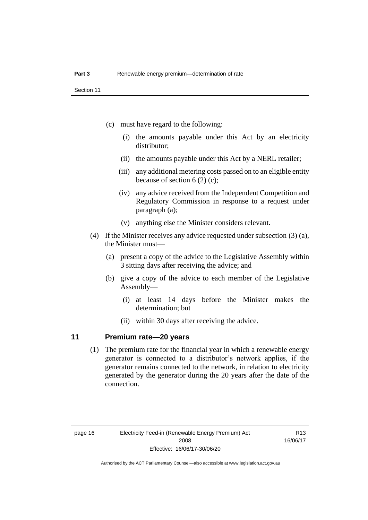- (c) must have regard to the following:
	- (i) the amounts payable under this Act by an electricity distributor;
	- (ii) the amounts payable under this Act by a NERL retailer;
	- (iii) any additional metering costs passed on to an eligible entity because of section 6 (2) (c);
	- (iv) any advice received from the Independent Competition and Regulatory Commission in response to a request under paragraph (a);
	- (v) anything else the Minister considers relevant.
- (4) If the Minister receives any advice requested under subsection (3) (a), the Minister must—
	- (a) present a copy of the advice to the Legislative Assembly within 3 sitting days after receiving the advice; and
	- (b) give a copy of the advice to each member of the Legislative Assembly—
		- (i) at least 14 days before the Minister makes the determination; but
		- (ii) within 30 days after receiving the advice.

# <span id="page-21-0"></span>**11 Premium rate—20 years**

(1) The premium rate for the financial year in which a renewable energy generator is connected to a distributor's network applies, if the generator remains connected to the network, in relation to electricity generated by the generator during the 20 years after the date of the connection.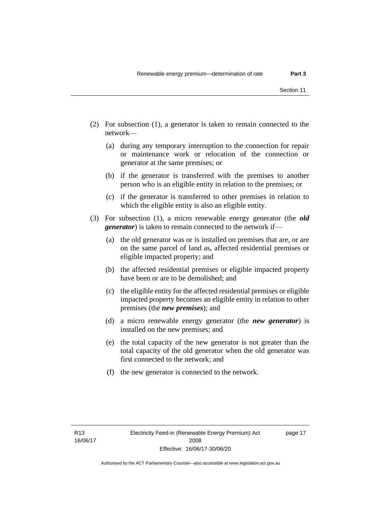- (2) For subsection (1), a generator is taken to remain connected to the network—
	- (a) during any temporary interruption to the connection for repair or maintenance work or relocation of the connection or generator at the same premises; or
	- (b) if the generator is transferred with the premises to another person who is an eligible entity in relation to the premises; or
	- (c) if the generator is transferred to other premises in relation to which the eligible entity is also an eligible entity.
- (3) For subsection (1), a micro renewable energy generator (the *old generator*) is taken to remain connected to the network if—
	- (a) the old generator was or is installed on premises that are, or are on the same parcel of land as, affected residential premises or eligible impacted property; and
	- (b) the affected residential premises or eligible impacted property have been or are to be demolished; and
	- (c) the eligible entity for the affected residential premises or eligible impacted property becomes an eligible entity in relation to other premises (the *new premises*); and
	- (d) a micro renewable energy generator (the *new generator*) is installed on the new premises; and
	- (e) the total capacity of the new generator is not greater than the total capacity of the old generator when the old generator was first connected to the network; and
	- (f) the new generator is connected to the network.

page 17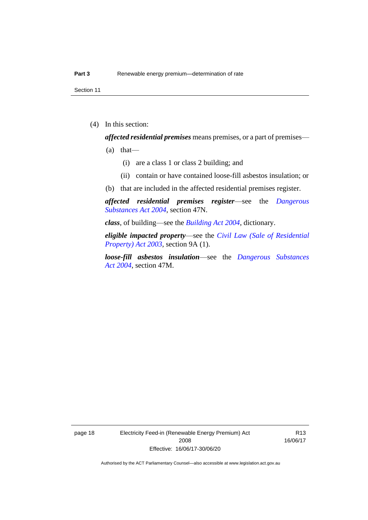Section 11

(4) In this section:

*affected residential premises* means premises, or a part of premises—

- $(a)$  that—
	- (i) are a class 1 or class 2 building; and
	- (ii) contain or have contained loose-fill asbestos insulation; or
- (b) that are included in the affected residential premises register.

*affected residential premises register*—see the *[Dangerous](http://www.legislation.act.gov.au/a/2004-7)  [Substances Act 2004](http://www.legislation.act.gov.au/a/2004-7)*, section 47N.

*class*, of building—see the *[Building Act 2004](http://www.legislation.act.gov.au/a/2004-11)*, dictionary.

*eligible impacted property*—see the *[Civil Law \(Sale of Residential](http://www.legislation.act.gov.au/a/2003-40)  [Property\) Act 2003](http://www.legislation.act.gov.au/a/2003-40)*, section 9A (1).

*loose-fill asbestos insulation*—see the *[Dangerous Substances](http://www.legislation.act.gov.au/a/2004-7)  Act [2004](http://www.legislation.act.gov.au/a/2004-7)*, section 47M.

page 18 Electricity Feed-in (Renewable Energy Premium) Act 2008 Effective: 16/06/17-30/06/20

R13 16/06/17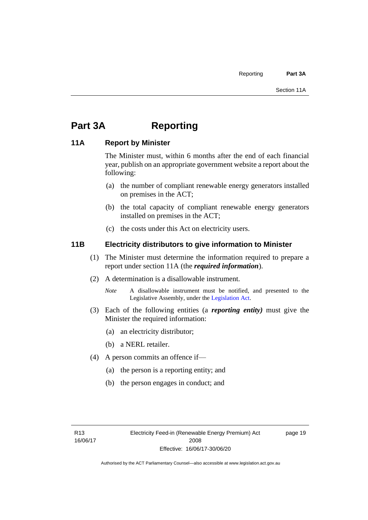# <span id="page-24-0"></span>**Part 3A Reporting**

# <span id="page-24-1"></span>**11A Report by Minister**

The Minister must, within 6 months after the end of each financial year, publish on an appropriate government website a report about the following:

- (a) the number of compliant renewable energy generators installed on premises in the ACT;
- (b) the total capacity of compliant renewable energy generators installed on premises in the ACT;
- (c) the costs under this Act on electricity users.

# <span id="page-24-2"></span>**11B Electricity distributors to give information to Minister**

- (1) The Minister must determine the information required to prepare a report under section 11A (the *required information*).
- (2) A determination is a disallowable instrument.
	- *Note* A disallowable instrument must be notified, and presented to the Legislative Assembly, under the [Legislation Act.](http://www.legislation.act.gov.au/a/2001-14)
- (3) Each of the following entities (a *reporting entity)* must give the Minister the required information:
	- (a) an electricity distributor;
	- (b) a NERL retailer.
- (4) A person commits an offence if—
	- (a) the person is a reporting entity; and
	- (b) the person engages in conduct; and

page 19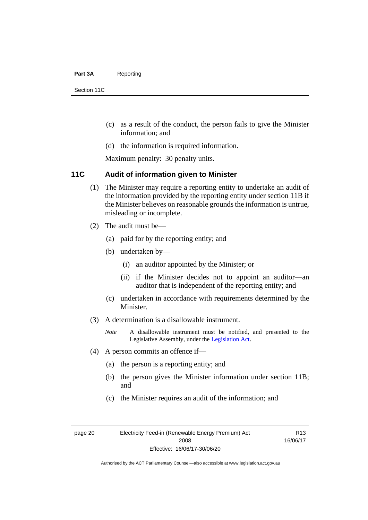#### Part 3A Reporting

Section 11C

- (c) as a result of the conduct, the person fails to give the Minister information; and
- (d) the information is required information.

Maximum penalty: 30 penalty units.

# <span id="page-25-0"></span>**11C Audit of information given to Minister**

- (1) The Minister may require a reporting entity to undertake an audit of the information provided by the reporting entity under section 11B if the Minister believes on reasonable grounds the information is untrue, misleading or incomplete.
- (2) The audit must be—
	- (a) paid for by the reporting entity; and
	- (b) undertaken by—
		- (i) an auditor appointed by the Minister; or
		- (ii) if the Minister decides not to appoint an auditor—an auditor that is independent of the reporting entity; and
	- (c) undertaken in accordance with requirements determined by the Minister.
- (3) A determination is a disallowable instrument.
	- *Note* A disallowable instrument must be notified, and presented to the Legislative Assembly, under the [Legislation Act.](http://www.legislation.act.gov.au/a/2001-14)
- (4) A person commits an offence if—
	- (a) the person is a reporting entity; and
	- (b) the person gives the Minister information under section 11B; and
	- (c) the Minister requires an audit of the information; and

page 20 Electricity Feed-in (Renewable Energy Premium) Act 2008 Effective: 16/06/17-30/06/20

R13 16/06/17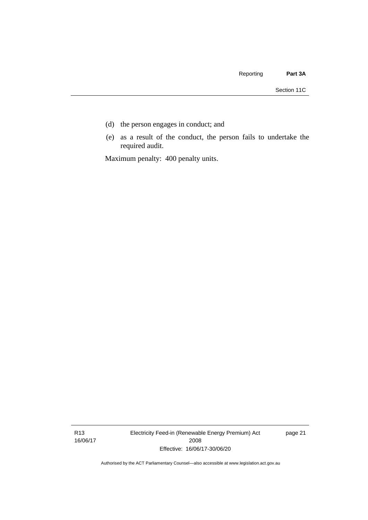- (d) the person engages in conduct; and
- (e) as a result of the conduct, the person fails to undertake the required audit.

Maximum penalty: 400 penalty units.

R13 16/06/17 Electricity Feed-in (Renewable Energy Premium) Act 2008 Effective: 16/06/17-30/06/20

page 21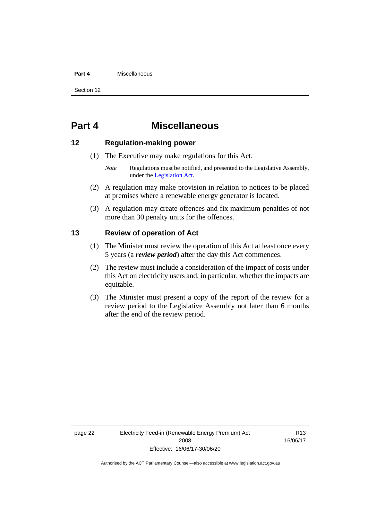#### **Part 4** Miscellaneous

Section 12

# <span id="page-27-0"></span>**Part 4 Miscellaneous**

# <span id="page-27-1"></span>**12 Regulation-making power**

- (1) The Executive may make regulations for this Act.
	- *Note* Regulations must be notified, and presented to the Legislative Assembly, under the [Legislation Act.](http://www.legislation.act.gov.au/a/2001-14)
- (2) A regulation may make provision in relation to notices to be placed at premises where a renewable energy generator is located.
- (3) A regulation may create offences and fix maximum penalties of not more than 30 penalty units for the offences.

# <span id="page-27-2"></span>**13 Review of operation of Act**

- (1) The Minister must review the operation of this Act at least once every 5 years (a *review period*) after the day this Act commences.
- (2) The review must include a consideration of the impact of costs under this Act on electricity users and, in particular, whether the impacts are equitable.
- (3) The Minister must present a copy of the report of the review for a review period to the Legislative Assembly not later than 6 months after the end of the review period.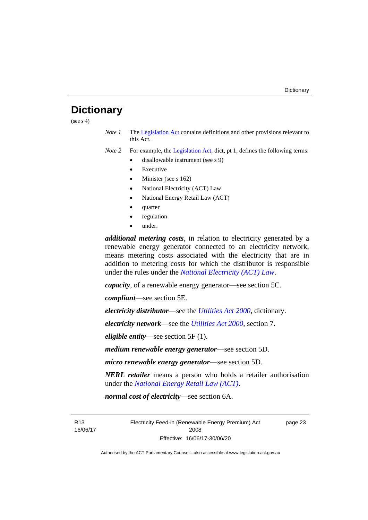# <span id="page-28-0"></span>**Dictionary**

(see  $s$  4)

*Note 1* The [Legislation Act](http://www.legislation.act.gov.au/a/2001-14) contains definitions and other provisions relevant to this Act.

*Note 2* For example, the [Legislation Act,](http://www.legislation.act.gov.au/a/2001-14) dict, pt 1, defines the following terms:

- disallowable instrument (see s 9)
	- **Executive**
	- Minister (see s 162)
	- National Electricity (ACT) Law
	- National Energy Retail Law (ACT)
	- quarter
	- regulation
	- under.

*additional metering costs*, in relation to electricity generated by a renewable energy generator connected to an electricity network, means metering costs associated with the electricity that are in addition to metering costs for which the distributor is responsible under the rules under the *[National Electricity \(ACT\) Law](http://www.legislation.act.gov.au/a/1997-79/default.asp)*.

*capacity*, of a renewable energy generator—see section 5C.

*compliant*—see section 5E.

*electricity distributor*—see the *[Utilities Act 2000](http://www.legislation.act.gov.au/a/2000-65)*, dictionary.

*electricity network*—see the *[Utilities Act 2000](http://www.legislation.act.gov.au/a/2000-65)*, section 7.

*eligible entity—*see section 5F (1).

*medium renewable energy generator*—see section 5D.

*micro renewable energy generator*—see section 5D.

*NERL retailer* means a person who holds a retailer authorisation under the *[National Energy Retail Law \(ACT\)](http://www.legislation.act.gov.au/a/2012-31/default.asp)*.

*normal cost of electricity*—see section 6A.

R13 16/06/17 Electricity Feed-in (Renewable Energy Premium) Act 2008 Effective: 16/06/17-30/06/20

page 23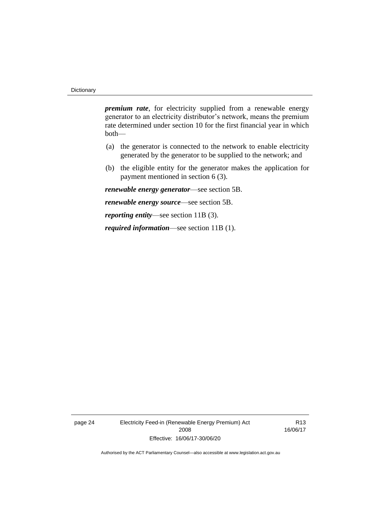*premium rate*, for electricity supplied from a renewable energy generator to an electricity distributor's network, means the premium rate determined under section 10 for the first financial year in which both—

- (a) the generator is connected to the network to enable electricity generated by the generator to be supplied to the network; and
- (b) the eligible entity for the generator makes the application for payment mentioned in section 6 (3).

*renewable energy generator*—see section 5B.

*renewable energy source*—see section 5B.

*reporting entity*—see section 11B (3).

*required information*—see section 11B (1).

page 24 Electricity Feed-in (Renewable Energy Premium) Act 2008 Effective: 16/06/17-30/06/20

R13 16/06/17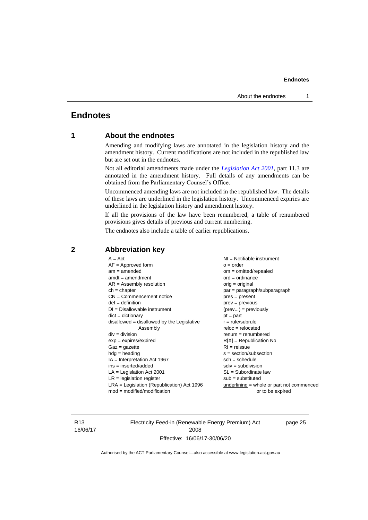# <span id="page-30-1"></span><span id="page-30-0"></span>**Endnotes**

# **1 About the endnotes**

Amending and modifying laws are annotated in the legislation history and the amendment history. Current modifications are not included in the republished law but are set out in the endnotes.

Not all editorial amendments made under the *[Legislation Act 2001](http://www.legislation.act.gov.au/a/2001-14)*, part 11.3 are annotated in the amendment history. Full details of any amendments can be obtained from the Parliamentary Counsel's Office.

Uncommenced amending laws are not included in the republished law. The details of these laws are underlined in the legislation history. Uncommenced expiries are underlined in the legislation history and amendment history.

If all the provisions of the law have been renumbered, a table of renumbered provisions gives details of previous and current numbering.

The endnotes also include a table of earlier republications.

| $A = Act$                                    | $NI =$ Notifiable instrument              |
|----------------------------------------------|-------------------------------------------|
|                                              |                                           |
| $AF =$ Approved form                         | $o = order$                               |
| $am = amended$                               | $om = omitted/repealed$                   |
| $amdt = amendment$                           | $ord = ordinance$                         |
| $AR = Assembly$ resolution                   | $orig = original$                         |
| $ch = chapter$                               | par = paragraph/subparagraph              |
| $CN =$ Commencement notice                   | $pres = present$                          |
| $def = definition$                           | $prev = previous$                         |
| $DI = Disallowable instrument$               | $(\text{prev}) = \text{previously}$       |
| $dict = dictionary$                          | $pt = part$                               |
| $disallowed = disallowed by the Legislative$ | $r = rule/subrule$                        |
| Assembly                                     | $reloc = relocated$                       |
| $div = division$                             | $remum = renumbered$                      |
| $exp = expires/expired$                      | $R[X]$ = Republication No                 |
| $Gaz = gazette$                              | $RI =$ reissue                            |
| $hdg =$ heading                              | $s = section/subsection$                  |
| $IA = Interpretation Act 1967$               | $sch = schedule$                          |
| ins = inserted/added                         | $sdiv = subdivision$                      |
| $LA =$ Legislation Act 2001                  | $SL = Subordinate$ law                    |
| $LR =$ legislation register                  | $sub =$ substituted                       |
| $LRA =$ Legislation (Republication) Act 1996 | underlining = whole or part not commenced |
| $mod = modified/modification$                | or to be expired                          |
|                                              |                                           |

# <span id="page-30-2"></span>**2 Abbreviation key**

R13 16/06/17 Electricity Feed-in (Renewable Energy Premium) Act 2008 Effective: 16/06/17-30/06/20

page 25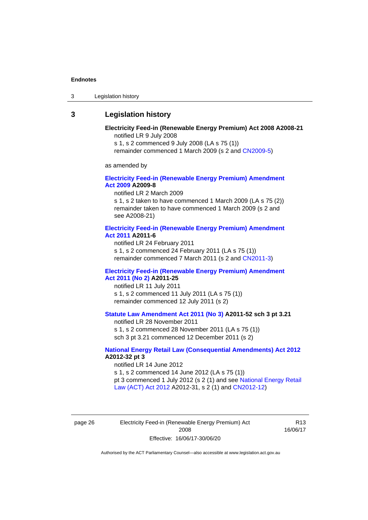3 Legislation history

# <span id="page-31-0"></span>**3 Legislation history**

#### **Electricity Feed-in (Renewable Energy Premium) Act 2008 A2008-21** notified LR 9 July 2008

s 1, s 2 commenced 9 July 2008 (LA s 75 (1))

remainder commenced 1 March 2009 (s 2 and [CN2009-5\)](http://www.legislation.act.gov.au/cn/2009-5/default.asp)

as amended by

#### **[Electricity Feed-in \(Renewable Energy Premium\) Amendment](http://www.legislation.act.gov.au/a/2009-8)  Act [2009](http://www.legislation.act.gov.au/a/2009-8) A2009-8**

notified LR 2 March 2009

s 1, s 2 taken to have commenced 1 March 2009 (LA s 75 (2)) remainder taken to have commenced 1 March 2009 (s 2 and see A2008-21)

#### **[Electricity Feed-in \(Renewable Energy Premium\) Amendment](http://www.legislation.act.gov.au/a/2011-6)  Act [2011](http://www.legislation.act.gov.au/a/2011-6) A2011-6**

notified LR 24 February 2011 s 1, s 2 commenced 24 February 2011 (LA s 75 (1)) remainder commenced 7 March 2011 (s 2 and [CN2011-3\)](http://www.legislation.act.gov.au/cn/2011-3/default.asp)

#### **[Electricity Feed-in \(Renewable Energy Premium\) Amendment](http://www.legislation.act.gov.au/a/2011-25)  Act [2011 \(No 2\)](http://www.legislation.act.gov.au/a/2011-25) A2011-25**

notified LR 11 July 2011 s 1, s 2 commenced 11 July 2011 (LA s 75 (1)) remainder commenced 12 July 2011 (s 2)

### **[Statute Law Amendment Act 2011 \(No](http://www.legislation.act.gov.au/a/2011-52) 3) A2011-52 sch 3 pt 3.21**

notified LR 28 November 2011 s 1, s 2 commenced 28 November 2011 (LA s 75 (1)) sch 3 pt 3.21 commenced 12 December 2011 (s 2)

#### **[National Energy Retail Law \(Consequential Amendments\) Act 2012](http://www.legislation.act.gov.au/a/2012-32) A2012-32 pt 3**

notified LR 14 June 2012 s 1, s 2 commenced 14 June 2012 (LA s 75 (1)) pt 3 commenced 1 July 2012 (s 2 (1) and see [National Energy Retail](http://www.legislation.act.gov.au/a/2012-31)  [Law \(ACT\) Act](http://www.legislation.act.gov.au/a/2012-31) 2012 A2012-31, s 2 (1) and [CN2012-12\)](http://www.legislation.act.gov.au/cn/2012-12/default.asp)

page 26 Electricity Feed-in (Renewable Energy Premium) Act 2008 Effective: 16/06/17-30/06/20

R13 16/06/17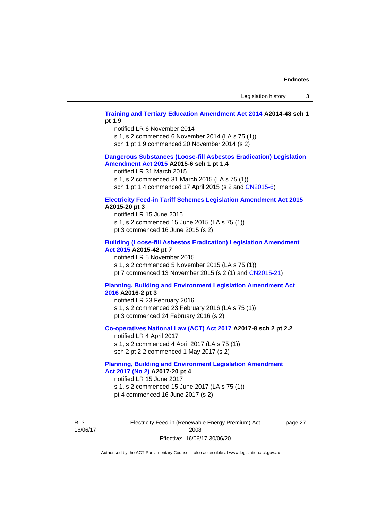#### **[Training and Tertiary Education Amendment Act 2014](http://www.legislation.act.gov.au/a/2014-48) A2014-48 sch 1 pt 1.9**

notified LR 6 November 2014

s 1, s 2 commenced 6 November 2014 (LA s 75 (1))

sch 1 pt 1.9 commenced 20 November 2014 (s 2)

#### **[Dangerous Substances \(Loose-fill Asbestos Eradication\) Legislation](http://www.legislation.act.gov.au/a/2015-6/default.asp)  [Amendment Act 2015](http://www.legislation.act.gov.au/a/2015-6/default.asp) A2015-6 sch 1 pt 1.4**

notified LR 31 March 2015

s 1, s 2 commenced 31 March 2015 (LA s 75 (1))

sch 1 pt 1.4 commenced 17 April 2015 (s 2 and [CN2015-6\)](http://www.legislation.act.gov.au/cn/2015-6/default.asp)

### **[Electricity Feed-in Tariff Schemes Legislation Amendment Act 2015](http://www.legislation.act.gov.au/a/2015-20/default.asp) A2015-20 pt 3**

notified LR 15 June 2015 s 1, s 2 commenced 15 June 2015 (LA s 75 (1)) pt 3 commenced 16 June 2015 (s 2)

#### **[Building \(Loose-fill Asbestos Eradication\) Legislation Amendment](http://www.legislation.act.gov.au/a/2015-42/default.asp)  [Act 2015](http://www.legislation.act.gov.au/a/2015-42/default.asp) A2015-42 pt 7**

notified LR 5 November 2015

s 1, s 2 commenced 5 November 2015 (LA s 75 (1))

pt 7 commenced 13 November 2015 (s 2 (1) and [CN2015-21\)](http://www.legislation.act.gov.au/cn/2015-21/default.asp)

#### **[Planning, Building and Environment Legislation Amendment Act](http://www.legislation.act.gov.au/a/2016-2/default.asp)  [2016](http://www.legislation.act.gov.au/a/2016-2/default.asp) A2016-2 pt 3**

notified LR 23 February 2016 s 1, s 2 commenced 23 February 2016 (LA s 75 (1)) pt 3 commenced 24 February 2016 (s 2)

#### **[Co-operatives National Law \(ACT\) Act 2017](http://www.legislation.act.gov.au/a/2017-8/default.asp) A2017-8 sch 2 pt 2.2**

notified LR 4 April 2017 s 1, s 2 commenced 4 April 2017 (LA s 75 (1)) sch 2 pt 2.2 commenced 1 May 2017 (s 2)

### **[Planning, Building and Environment Legislation Amendment](http://www.legislation.act.gov.au/a/2017-20/default.asp)  Act 2017 [\(No 2\)](http://www.legislation.act.gov.au/a/2017-20/default.asp) A2017-20 pt 4**

notified LR 15 June 2017

s 1, s 2 commenced 15 June 2017 (LA s 75 (1))

pt 4 commenced 16 June 2017 (s 2)

R13 16/06/17 Electricity Feed-in (Renewable Energy Premium) Act 2008 Effective: 16/06/17-30/06/20

page 27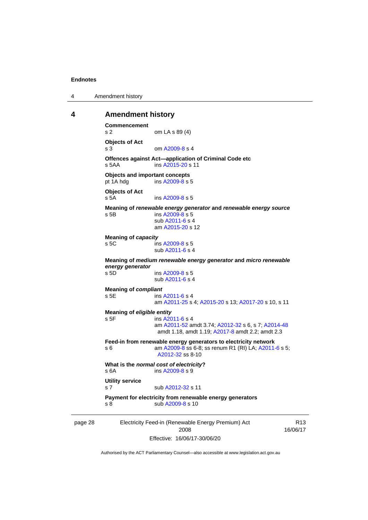4 Amendment history

#### <span id="page-33-0"></span>**4 Amendment history**

```
page 28 Electricity Feed-in (Renewable Energy Premium) Act 
                       2008
                                                            R13
                                                         16/06/17
Commencement
s 2 om LA s 89 (4)
Objects of Act
s 3 om A2009-8 s 4
Offences against Act—application of Criminal Code etc<br>s 5AA ins A2015-20 s 11
                 A2015-20 s 11
Objects and important concepts
pt 1A hdg ins A2009-8 s 5
Objects of Act
s 5A ins A2009-8 s 5
Meaning of renewable energy generator and renewable energy source
s 5B ins A2009-8 s 5
                sub A2011-6 s 4
                am A2015-20 s 12
Meaning of capacity
 A2009-8 s 5
                sub A2011-6 s 4
Meaning of medium renewable energy generator and micro renewable 
energy generator
                 A2009-8 s 5
                sub A2011-6 s 4
Meaning of compliant
s 5E ins A2011-6 s 4
                am A2011-25 s 4; A2015-20 s 13; A2017-20 s 10, s 11
Meaning of eligible entity
s 5F ins A2011-6 s 4
                am A2011-52 amdt 3.74; A2012-32 s 6, s 7; A2014-48
                 amdt 1.18, amdt 1.19; A2017-8 amdt 2.2; amdt 2.3
Feed-in from renewable energy generators to electricity network
s 6  A2009-8 A2011-6 s 5;
                 A2012-32 ss 8-10
What is the normal cost of electricity?
 A2009-8 s 9
Utility service
 A2012-32 s 11
Payment for electricity from renewable energy generators
 A2009-8 s 10
```
Effective: 16/06/17-30/06/20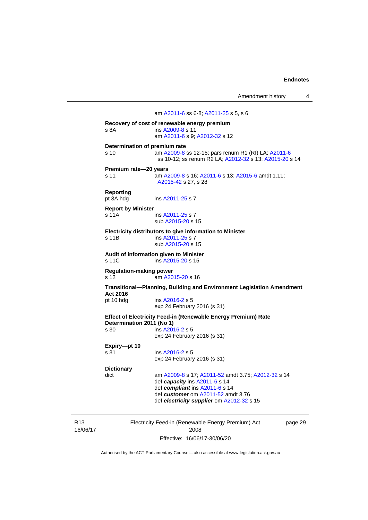am [A2011-6](http://www.legislation.act.gov.au/a/2011-6) ss 6-8; [A2011-25](http://www.legislation.act.gov.au/a/2011-25) s 5, s 6 **Recovery of cost of renewable energy premium** s 8A ins [A2009-8](http://www.legislation.act.gov.au/a/2009-8) s 11 am [A2011-6](http://www.legislation.act.gov.au/a/2011-6) s 9[; A2012-32](http://www.legislation.act.gov.au/a/2012-32) s 12 **Determination of premium rate** s 10 am [A2009-8](http://www.legislation.act.gov.au/a/2009-8) ss 12-15; pars renum R1 (RI) LA[; A2011-6](http://www.legislation.act.gov.au/a/2011-6) ss 10-12; ss renum R2 LA; [A2012-32](http://www.legislation.act.gov.au/a/2012-32) s 13[; A2015-20](http://www.legislation.act.gov.au/a/2015-20) s 14 **Premium rate—20 years** s 11 am [A2009-8](http://www.legislation.act.gov.au/a/2009-8) s 16[; A2011-6](http://www.legislation.act.gov.au/a/2011-6) s 13; [A2015-6](http://www.legislation.act.gov.au/a/2015-6) amdt 1.11; [A2015-42](http://www.legislation.act.gov.au/a/2015-42) s 27, s 28 **Reporting**<br>pt 3A hdg ins [A2011-25](http://www.legislation.act.gov.au/a/2011-25) s 7 **Report by Minister** s 11A ins [A2011-25](http://www.legislation.act.gov.au/a/2011-25) s 7 sub [A2015-20](http://www.legislation.act.gov.au/a/2015-20) s 15 **Electricity distributors to give information to Minister** s 11B ins [A2011-25](http://www.legislation.act.gov.au/a/2011-25) s 7 sub [A2015-20](http://www.legislation.act.gov.au/a/2015-20) s 15 **Audit of information given to Minister**  $ins$  [A2015-20](http://www.legislation.act.gov.au/a/2015-20) s 15 **Regulation-making power** s 12 am [A2015-20](http://www.legislation.act.gov.au/a/2015-20) s 16 **Transitional—Planning, Building and Environment Legislation Amendment Act 2016** ins [A2016-2](http://www.legislation.act.gov.au/a/2016-2/default.asp) s 5 exp 24 February 2016 (s 31) **Effect of Electricity Feed-in (Renewable Energy Premium) Rate Determination 2011 (No 1)** ins [A2016-2](http://www.legislation.act.gov.au/a/2016-2/default.asp) s 5 exp 24 February 2016 (s 31) **Expiry—pt 10** s 31 ins [A2016-2](http://www.legislation.act.gov.au/a/2016-2/default.asp) s 5 exp 24 February 2016 (s 31) **Dictionary** am [A2009-8](http://www.legislation.act.gov.au/a/2009-8) s 17[; A2011-52](http://www.legislation.act.gov.au/a/2011-52) amdt 3.75; [A2012-32](http://www.legislation.act.gov.au/a/2012-32) s 14 def *capacity* in[s A2011-6](http://www.legislation.act.gov.au/a/2011-6) s 14 def *compliant* ins [A2011-6](http://www.legislation.act.gov.au/a/2011-6) s 14 def *customer* om [A2011-52](http://www.legislation.act.gov.au/a/2011-52) amdt 3.76 def *electricity supplier* om [A2012-32](http://www.legislation.act.gov.au/a/2012-32) s 15

R13 16/06/17 Electricity Feed-in (Renewable Energy Premium) Act 2008 Effective: 16/06/17-30/06/20

page 29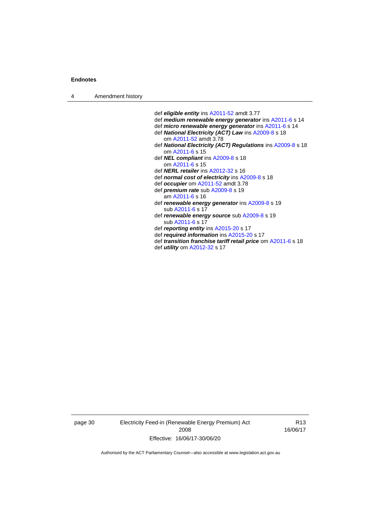4 Amendment history

def *eligible entity* ins [A2011-52](http://www.legislation.act.gov.au/a/2011-52) amdt 3.77 def *medium renewable energy generator* in[s A2011-6](http://www.legislation.act.gov.au/a/2011-6) s 14 def *micro renewable energy generator* in[s A2011-6](http://www.legislation.act.gov.au/a/2011-6) s 14 def *National Electricity (ACT) Law* in[s A2009-8](http://www.legislation.act.gov.au/a/2009-8) s 18 om [A2011-52](http://www.legislation.act.gov.au/a/2011-52) amdt 3.78 def *National Electricity (ACT) Regulations* in[s A2009-8](http://www.legislation.act.gov.au/a/2009-8) s 18 om [A2011-6](http://www.legislation.act.gov.au/a/2011-6) s 15 def *NEL compliant* in[s A2009-8](http://www.legislation.act.gov.au/a/2009-8) s 18 om [A2011-6](http://www.legislation.act.gov.au/a/2011-6) s 15 def *NERL retailer* in[s A2012-32](http://www.legislation.act.gov.au/a/2012-32) s 16 def *normal cost of electricity* ins [A2009-8](http://www.legislation.act.gov.au/a/2009-8) s 18 def *occupier* om [A2011-52](http://www.legislation.act.gov.au/a/2011-52) amdt 3.78 def *premium rate* su[b A2009-8](http://www.legislation.act.gov.au/a/2009-8) s 19 am [A2011-6](http://www.legislation.act.gov.au/a/2011-6) s 16 def *renewable energy generator* ins [A2009-8](http://www.legislation.act.gov.au/a/2009-8) s 19 sub [A2011-6](http://www.legislation.act.gov.au/a/2011-6) s 17 def *renewable energy source* su[b A2009-8](http://www.legislation.act.gov.au/a/2009-8) s 19 sub [A2011-6](http://www.legislation.act.gov.au/a/2011-6) s 17 def *reporting entity* in[s A2015-20](http://www.legislation.act.gov.au/a/2015-20) s 17 def *required information* in[s A2015-20](http://www.legislation.act.gov.au/a/2015-20) s 17 def *transition franchise tariff retail price* o[m A2011-6](http://www.legislation.act.gov.au/a/2011-6) s 18 def *utility* o[m A2012-32](http://www.legislation.act.gov.au/a/2012-32) s 17

page 30 Electricity Feed-in (Renewable Energy Premium) Act 2008 Effective: 16/06/17-30/06/20

R13 16/06/17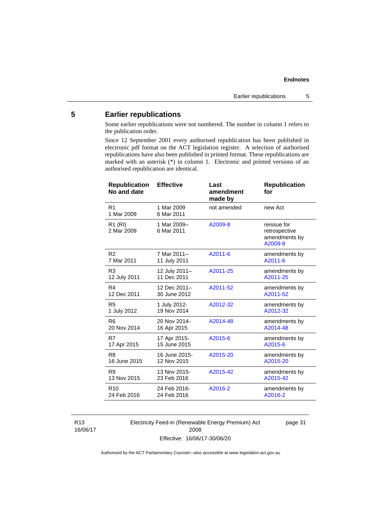# <span id="page-36-0"></span>**5 Earlier republications**

Some earlier republications were not numbered. The number in column 1 refers to the publication order.

Since 12 September 2001 every authorised republication has been published in electronic pdf format on the ACT legislation register. A selection of authorised republications have also been published in printed format. These republications are marked with an asterisk (\*) in column 1. Electronic and printed versions of an authorised republication are identical.

| <b>Republication</b><br>No and date | <b>Effective</b>          | Last<br>amendment<br>made by | <b>Republication</b><br>for                              |
|-------------------------------------|---------------------------|------------------------------|----------------------------------------------------------|
| R <sub>1</sub><br>1 Mar 2009        | 1 Mar 2009<br>6 Mar 2011  | not amended                  | new Act                                                  |
| $R1$ (RI)<br>2 Mar 2009             | 1 Mar 2009-<br>6 Mar 2011 | A2009-8                      | reissue for<br>retrospective<br>amendments by<br>A2009-8 |
| R <sub>2</sub>                      | 7 Mar 2011-               | A2011-6                      | amendments by                                            |
| 7 Mar 2011                          | 11 July 2011              |                              | A2011-6                                                  |
| R <sub>3</sub>                      | 12 July 2011-             | A2011-25                     | amendments by                                            |
| 12 July 2011                        | 11 Dec 2011               |                              | A2011-25                                                 |
| R4                                  | 12 Dec 2011-              | A2011-52                     | amendments by                                            |
| 12 Dec 2011                         | 30 June 2012              |                              | A2011-52                                                 |
| R5                                  | 1 July 2012-              | A2012-32                     | amendments by                                            |
| 1 July 2012                         | 19 Nov 2014               |                              | A2012-32                                                 |
| R <sub>6</sub>                      | 20 Nov 2014-              | A2014-48                     | amendments by                                            |
| 20 Nov 2014                         | 16 Apr 2015               |                              | A2014-48                                                 |
| R7                                  | 17 Apr 2015-              | A2015-6                      | amendments by                                            |
| 17 Apr 2015                         | 15 June 2015              |                              | A2015-6                                                  |
| R <sub>8</sub>                      | 16 June 2015-             | A2015-20                     | amendments by                                            |
| 16 June 2015                        | 12 Nov 2015               |                              | A2015-20                                                 |
| R <sub>9</sub>                      | 13 Nov 2015-              | A2015-42                     | amendments by                                            |
| 13 Nov 2015                         | 23 Feb 2016               |                              | A2015-42                                                 |
| R <sub>10</sub>                     | 24 Feb 2016-              | A2016-2                      | amendments by                                            |
| 24 Feb 2016                         | 24 Feb 2016               |                              | A2016-2                                                  |

R13 16/06/17 Electricity Feed-in (Renewable Energy Premium) Act 2008 Effective: 16/06/17-30/06/20

page 31